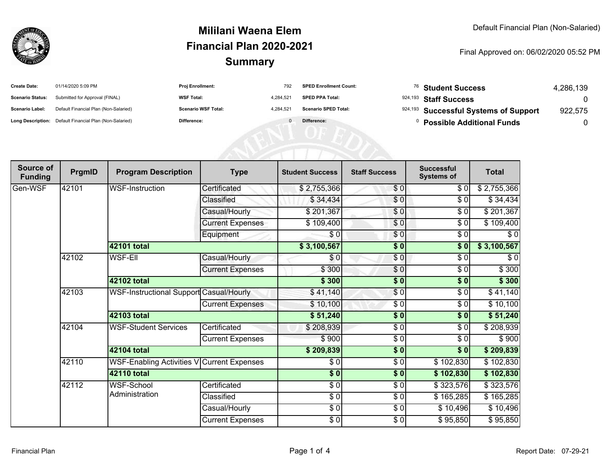

## **SummaryMililani Waena ElemFinancial Plan 2020-2021**

#### Final Approved on: 06/02/2020 05:52 PM

| <b>Create Date:</b>     | 01/14/2020 5:09 PM                                      | <b>Proj Enrollment:</b>    | 792       | <b>SPED Enrollment Count:</b> | <sup>76</sup> Student Success         | 4,286,139 |
|-------------------------|---------------------------------------------------------|----------------------------|-----------|-------------------------------|---------------------------------------|-----------|
| <b>Scenario Status:</b> | Submitted for Approval (FINAL)                          | <b>WSF Total:</b>          | 4.284.521 | <b>SPED PPA Total:</b>        | <sup>924,193</sup> Staff Success      |           |
| <b>Scenario Label:</b>  | Default Financial Plan (Non-Salaried)                   | <b>Scenario WSF Total:</b> | 4.284.521 | <b>Scenario SPED Total:</b>   | 924,193 Successful Systems of Support | 922.575   |
|                         | Long Description: Default Financial Plan (Non-Salaried) | <b>Difference:</b>         |           | Difference:                   | <b>Possible Additional Funds</b>      |           |

| Source of<br><b>Funding</b> | PrgmID | <b>Program Description</b>                     | <b>Type</b>             | <b>Student Success</b>   | <b>Staff Success</b> | <b>Successful</b><br><b>Systems of</b> | <b>Total</b> |
|-----------------------------|--------|------------------------------------------------|-------------------------|--------------------------|----------------------|----------------------------------------|--------------|
| Gen-WSF                     | 42101  | <b>WSF-Instruction</b>                         | Certificated            | \$2,755,366              | \$0                  | \$0                                    | \$2,755,366  |
|                             |        |                                                | Classified              | \$34,434                 | $\overline{\$0}$     | \$0                                    | \$34,434     |
|                             |        |                                                | Casual/Hourly           | \$201,367                | \$0                  | \$0                                    | \$201,367    |
|                             |        |                                                | <b>Current Expenses</b> | \$109,400                | \$0                  | \$0                                    | \$109,400    |
|                             |        |                                                | Equipment               | \$0                      | \$0                  | \$0                                    | $\sqrt{6}$   |
|                             |        | 42101 total                                    |                         | \$3,100,567              | $\frac{1}{2}$        | \$0                                    | \$3,100,567  |
|                             | 42102  | <b>WSF-EII</b>                                 | Casual/Hourly           | \$0                      | \$0                  | \$0                                    | \$0          |
|                             |        |                                                | <b>Current Expenses</b> | \$300                    | $\frac{6}{6}$        | \$0                                    | \$300        |
|                             |        | 42102 total                                    |                         | \$300                    | $\frac{1}{2}$        | \$0                                    | \$300        |
|                             | 42103  | <b>WSF-Instructional Support Casual/Hourly</b> |                         | \$41,140                 | \$0                  | \$0                                    | \$41,140     |
|                             |        |                                                | <b>Current Expenses</b> | \$10,100                 | \$0                  | \$0                                    | \$10,100     |
|                             |        | 42103 total                                    |                         | \$51,240                 | $\frac{1}{2}$        | \$0                                    | \$51,240     |
|                             | 42104  | <b>WSF-Student Services</b>                    | Certificated            | \$208,939                | $\frac{6}{6}$        | \$0                                    | \$208,939    |
|                             |        |                                                | <b>Current Expenses</b> | \$900                    | \$0                  | \$0                                    | \$900        |
|                             |        | 42104 total                                    |                         | \$209,839                | \$0                  | \$0                                    | \$209,839    |
|                             | 42110  | WSF-Enabling Activities V Current Expenses     |                         | \$0                      | \$0                  | \$102,830                              | \$102,830    |
|                             |        | 42110 total                                    |                         | $\frac{1}{2}$            | $\frac{1}{2}$        | \$102,830                              | \$102,830    |
|                             | 42112  | WSF-School<br>Administration                   | Certificated            | $\frac{6}{6}$            | \$0                  | \$323,576                              | \$323,576    |
|                             |        |                                                | Classified              | $\frac{1}{\epsilon}$     | \$0                  | \$165,285                              | \$165,285    |
|                             |        |                                                | Casual/Hourly           | $\overline{\frac{1}{2}}$ | \$0                  | $\overline{$}10,496$                   | \$10,496     |
|                             |        |                                                | <b>Current Expenses</b> | $\sqrt{6}$               | \$0                  | \$95,850                               | \$95,850     |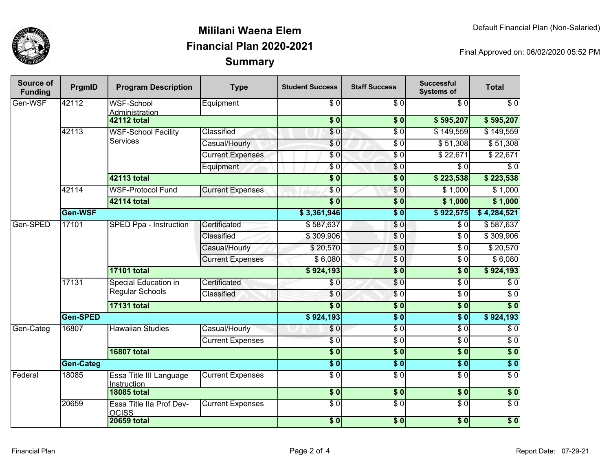

## **SummaryMililani Waena ElemFinancial Plan 2020-2021**

Final Approved on: 06/02/2020 05:52 PM

| Source of<br><b>Funding</b> | PrgmID    | <b>Program Description</b>                            | <b>Type</b>             | <b>Student Success</b> | <b>Staff Success</b> | <b>Successful</b><br><b>Systems of</b> | <b>Total</b>     |
|-----------------------------|-----------|-------------------------------------------------------|-------------------------|------------------------|----------------------|----------------------------------------|------------------|
| Gen-WSF                     | 42112     | <b>WSF-School</b><br>Administration                   | Equipment               | $\overline{30}$        | \$0                  | \$0                                    | $\overline{\$0}$ |
|                             |           | <b>42112 total</b>                                    |                         | $\overline{\bullet}$   | $\overline{\$0}$     | \$595,207                              | \$595,207        |
|                             | 42113     | <b>WSF-School Facility</b><br><b>Services</b>         | Classified              | \$0                    | $\overline{\$0}$     | \$149,559                              | \$149,559        |
|                             |           |                                                       | Casual/Hourly           | \$0                    | $\overline{\$0}$     | \$51,308                               | \$51,308         |
|                             |           |                                                       | <b>Current Expenses</b> | $\overline{\$0}$       | $\sqrt{6}$           | \$22,671                               | \$22,671         |
|                             |           |                                                       | Equipment               | $\sqrt{6}$             | $\overline{\$0}$     | $\overline{\$0}$                       | $\overline{\$0}$ |
|                             |           | <b>42113 total</b>                                    |                         | $\overline{\$0}$       | $\overline{\$0}$     | \$223,538                              | \$223,538        |
|                             | 42114     | <b>WSF-Protocol Fund</b>                              | <b>Current Expenses</b> | $\sqrt{6}$             | \$0                  | \$1,000                                | \$1,000          |
|                             |           | <b>42114 total</b>                                    |                         | $\overline{\$0}$       | \$0                  | $\sqrt{$}1,000$                        | \$1,000          |
|                             | Gen-WSF   |                                                       |                         | \$3,361,946            | $\overline{\$0}$     | \$922,575                              | \$4,284,521      |
| Gen-SPED                    | 17101     | SPED Ppa - Instruction                                | Certificated            | \$587,637              | $\sqrt{6}$           | \$0                                    | \$587,637        |
|                             |           |                                                       | Classified              | \$309,906              | $\sqrt{6}$           | $\overline{\$0}$                       | \$309,906        |
|                             |           |                                                       | Casual/Hourly           | \$20,570               | $\overline{\$0}$     | $\overline{\$0}$                       | \$20,570         |
|                             |           |                                                       | <b>Current Expenses</b> | \$6,080                | $\sqrt{0}$           | $\overline{\$0}$                       | \$6,080          |
|                             |           | <b>17101 total</b>                                    |                         | \$924,193              | $\overline{\$0}$     | $\overline{\textbf{S}^0}$              | \$924,193        |
|                             | 17131     | <b>Special Education in</b><br><b>Regular Schools</b> | Certificated            | $\overline{\$0}$       | $\overline{\$0}$     | $\overline{\$0}$                       | $\overline{\$0}$ |
|                             |           |                                                       | Classified              | \$0                    | $\overline{\$0}$     | $\overline{\$0}$                       | $\overline{\$0}$ |
|                             |           | <b>17131 total</b>                                    |                         | $\overline{\bullet}$   | $\overline{\$0}$     | $\overline{\$0}$                       | $\overline{\$0}$ |
|                             | Gen-SPED  |                                                       |                         | \$924,193              | $\overline{\$0}$     | $\overline{\textbf{S}^0}$              | \$924,193        |
| Gen-Categ                   | 16807     | <b>Hawaiian Studies</b>                               | Casual/Hourly           | \$0                    | $\overline{\$0}$     | $\overline{\$0}$                       | $\overline{\$0}$ |
|                             |           |                                                       | <b>Current Expenses</b> | $\overline{\$0}$       | $\overline{\$0}$     | $\overline{\$0}$                       | $\overline{\$0}$ |
|                             |           | <b>16807 total</b>                                    |                         | $\overline{\$0}$       | $\overline{\$0}$     | $\overline{\$0}$                       | $\overline{\$0}$ |
|                             | Gen-Categ |                                                       |                         | $\overline{\$0}$       | $\overline{\$0}$     | $\overline{\$0}$                       | $\overline{\$0}$ |
| Federal                     | 18085     | Essa Title III Language<br>Instruction                | <b>Current Expenses</b> | $\overline{\$0}$       | $\overline{\$0}$     | $\overline{\$0}$                       | $\overline{\$0}$ |
|                             |           | <b>18085 total</b>                                    |                         | $\sqrt{6}$             | $\sqrt{6}$           | $\sqrt{6}$                             | \$0              |
|                             | 20659     | Essa Title IIa Prof Dev-<br><b>OCISS</b>              | <b>Current Expenses</b> | $\overline{S}0$        | $\overline{\$0}$     | $\sqrt{6}$                             | $\overline{\$0}$ |
|                             |           | <b>20659 total</b>                                    |                         | $\overline{\$0}$       | $\overline{\$0}$     | $\overline{\$0}$                       | $\overline{\$0}$ |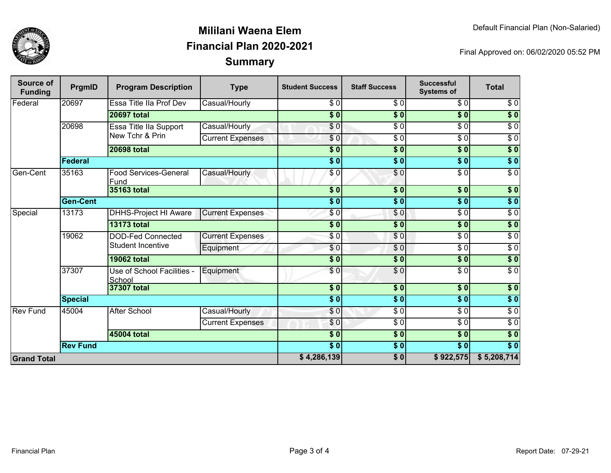

## **SummaryMililani Waena ElemFinancial Plan 2020-2021**

Final Approved on: 06/02/2020 05:52 PM

| Source of<br><b>Funding</b> | PrgmID             | <b>Program Description</b>                    | <b>Type</b>             | <b>Student Success</b>     | <b>Staff Success</b>        | <b>Successful</b><br><b>Systems of</b> | <b>Total</b>     |
|-----------------------------|--------------------|-----------------------------------------------|-------------------------|----------------------------|-----------------------------|----------------------------------------|------------------|
| Federal                     | 20697              | Essa Title IIa Prof Dev                       | Casual/Hourly           | \$0                        | \$0                         | $\overline{\$0}$                       | $\overline{\$0}$ |
|                             | <b>20697 total</b> |                                               | $\overline{\$0}$        | $\overline{\$0}$           | $\overline{\$0}$            | $\overline{\$0}$                       |                  |
|                             | 20698              | Essa Title IIa Support<br>New Tchr & Prin     | Casual/Hourly           | $\overline{S}0$            | $\overline{S}$ <sub>0</sub> | $\overline{\$0}$                       | $\overline{\$0}$ |
|                             |                    |                                               | <b>Current Expenses</b> | $\overline{\$0}$           | $\frac{6}{6}$               | $\overline{\$0}$                       | $\sqrt{6}$       |
|                             |                    | <b>20698 total</b>                            |                         | $\overline{\$0}$           | $\overline{\$0}$            | \$0                                    | $\overline{\$0}$ |
|                             | <b>Federal</b>     |                                               |                         | $\overline{\phantom{0}50}$ | $\overline{\$0}$            | $\overline{\$0}$                       | $\sqrt{6}$       |
| Gen-Cent                    | 35163              | <b>Food Services-General</b><br>Fund          | Casual/Hourly           | $\frac{3}{2}$              | \$0                         | $\overline{\$0}$                       | \$0              |
|                             |                    | <b>35163 total</b>                            |                         | $\overline{\textbf{S}^0}$  | $\overline{\textbf{S}^0}$   | s <sub>0</sub>                         | \$0              |
|                             | <b>Gen-Cent</b>    |                                               |                         | s <sub>0</sub>             | $\overline{\textbf{S}^0}$   | $\overline{\textbf{S}^0}$              | \$0              |
| Special                     | 13173              | <b>DHHS-Project HI Aware</b>                  | <b>Current Expenses</b> | \$0                        | \$0                         | $\overline{\$0}$                       | $\sqrt{6}$       |
|                             |                    | <b>13173 total</b>                            |                         | $\overline{\textbf{S}^0}$  | $\overline{\$}0$            | $\overline{\textbf{S}^0}$              | \$0              |
|                             | 19062              | <b>DOD-Fed Connected</b><br>Student Incentive | <b>Current Expenses</b> | \$0                        | \$0                         | $\overline{\$0}$                       | $\overline{\$0}$ |
|                             |                    |                                               | Equipment               | \$0                        | $\overline{S}0$             | $\overline{\$0}$                       | $\sqrt{6}$       |
|                             |                    | <b>19062 total</b>                            |                         | $\overline{\textbf{S}^0}$  | $\overline{\textbf{S}^0}$   | $\overline{\$0}$                       | $\sqrt{6}$       |
|                             | 37307              | Use of School Facilities -<br>School          | Equipment               | $\overline{S}0$            | $\sqrt{6}$                  | $\overline{\$0}$                       | $\overline{\$0}$ |
|                             |                    | <b>37307 total</b>                            |                         | $\overline{\$0}$           | \$0                         | $\overline{\$0}$                       | \$0              |
|                             | <b>Special</b>     |                                               |                         | $\overline{\bullet}$       | \$0                         | \$0                                    | \$0              |
| <b>Rev Fund</b>             | 45004              | <b>After School</b>                           | Casual/Hourly           | \$0                        | \$0                         | $\sqrt{6}$                             | $\sqrt{6}$       |
|                             |                    |                                               | <b>Current Expenses</b> | \$0                        | \$0                         | \$0                                    | $\overline{S}0$  |
|                             |                    | 45004 total                                   |                         |                            | \$0                         | \$0                                    | \$0              |
|                             | <b>Rev Fund</b>    |                                               |                         | $\overline{\bullet}$       | $\frac{1}{2}$               | \$0                                    | $\overline{\$0}$ |
| <b>Grand Total</b>          |                    |                                               |                         | \$4,286,139                | $\overline{\$0}$            | \$922,575                              | \$5,208,714      |